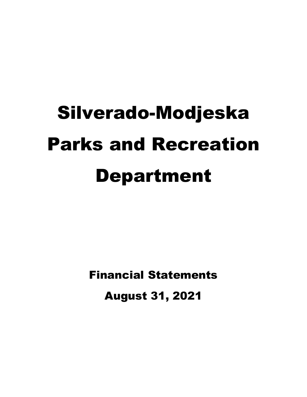# Silverado-Modjeska Parks and Recreation Department

Financial Statements August 31, 2021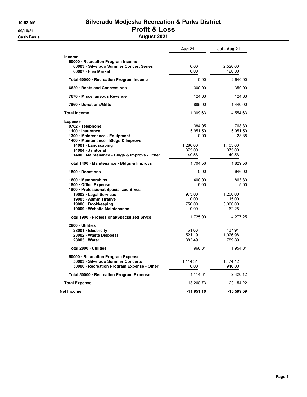## 10:53 AM Silverado Modjeska Recreation & Parks District 09/16/21 **Profit & Loss**

**Cash Basis** Cash Basis **August 2021** 

|                                                                                               | Aug 21       | Jul - Aug 21 |
|-----------------------------------------------------------------------------------------------|--------------|--------------|
| <b>Income</b><br>60000 · Recreation Program Income<br>60003 · Silverado Summer Concert Series | 0.00         | 2,520.00     |
| 60007 · Flea Market                                                                           | 0.00         | 120.00       |
| Total 60000 · Recreation Program Income                                                       | 0.00         | 2,640.00     |
| 6620 Rents and Concessions                                                                    | 300.00       | 350.00       |
| 7670 Miscellaneous Revenue                                                                    | 124.63       | 124.63       |
| 7960 Donations/Gifts                                                                          | 885.00       | 1,440.00     |
| <b>Total Income</b>                                                                           | 1,309.63     | 4,554.63     |
| <b>Expense</b>                                                                                |              |              |
| 0702 · Telephone                                                                              | 384.05       | 768.30       |
| 1100 Insurance                                                                                | 6,951.50     | 6,951.50     |
| 1300 Maintenance - Equipment                                                                  | 0.00         | 128.38       |
| 1400 · Maintenance - Bldgs & Improvs                                                          |              |              |
| 14001 · Landscaping                                                                           | 1,280.00     | 1,405.00     |
| 14004 · Janitorial                                                                            | 375.00       | 375.00       |
| 1400 · Maintenance - Bldgs & Improvs - Other                                                  | 49.56        | 49.56        |
| Total 1400 · Maintenance - Bldgs & Improvs                                                    | 1,704.56     | 1,829.56     |
| 1500 Donations                                                                                | 0.00         | 946.00       |
| 1600 Memberships                                                                              | 400.00       | 863.30       |
| 1800 Office Expense                                                                           | 15.00        | 15.00        |
| 1900 · Professional/Specialized Srvcs                                                         |              |              |
| 19002 · Legal Services                                                                        | 975.00       | 1,200.00     |
| 19005 Administrative                                                                          | 0.00         | 15.00        |
| 19006 · Bookkeeping                                                                           | 750.00       | 3,000.00     |
| 19009 Website Maintenance                                                                     | 0.00         | 62.25        |
| Total 1900 · Professional/Specialized Srvcs                                                   | 1,725.00     | 4,277.25     |
| 2800 Utilities                                                                                |              |              |
| 28001 · Electricity                                                                           | 61.63        | 137.94       |
| 28002 Waste Disposal                                                                          | 521.19       | 1,026.98     |
| 28005 Water                                                                                   | 383.49       | 789.89       |
| Total 2800 Utilities                                                                          | 966.31       | 1,954.81     |
| 50000 · Recreation Program Expense                                                            |              |              |
| 50003 · Silverado Summer Concerts                                                             | 1,114.31     | 1,474.12     |
| 50000 · Recreation Program Expense - Other                                                    | 0.00         | 946.00       |
| Total 50000 · Recreation Program Expense                                                      | 1,114.31     | 2,420.12     |
| <b>Total Expense</b>                                                                          | 13,260.73    | 20,154.22    |
| Net Income                                                                                    | $-11,951.10$ | -15,599.59   |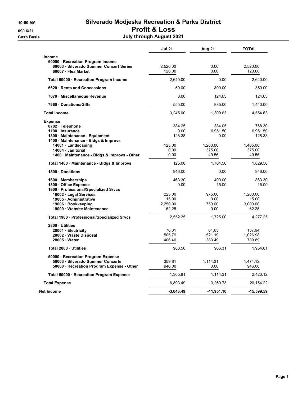#### 10:50 AM Silverado Modjeska Recreation & Parks District 09/16/21 Profit & Loss **Cash Basis July through August 2021**

|  |  | . |  |                          |  |
|--|--|---|--|--------------------------|--|
|  |  |   |  | July through August 2021 |  |

|                                                                                                                                                                                                                       | <b>Jul 21</b>                                          | Aug 21                                                    | <b>TOTAL</b>                                                |
|-----------------------------------------------------------------------------------------------------------------------------------------------------------------------------------------------------------------------|--------------------------------------------------------|-----------------------------------------------------------|-------------------------------------------------------------|
| <b>Income</b><br>60000 · Recreation Program Income<br>60003 Silverado Summer Concert Series<br>60007 · Flea Market                                                                                                    | 2,520.00<br>120.00                                     | 0.00<br>0.00                                              | 2,520.00<br>120.00                                          |
| Total 60000 · Recreation Program Income                                                                                                                                                                               | 2,640.00                                               | 0.00                                                      | 2,640.00                                                    |
| 6620 Rents and Concessions                                                                                                                                                                                            | 50.00                                                  | 300.00                                                    | 350.00                                                      |
| 7670 Miscellaneous Revenue                                                                                                                                                                                            | 0.00                                                   | 124.63                                                    | 124.63                                                      |
| 7960 Donations/Gifts                                                                                                                                                                                                  | 555.00                                                 | 885.00                                                    | 1,440.00                                                    |
| <b>Total Income</b>                                                                                                                                                                                                   | 3,245.00                                               | 1,309.63                                                  | 4,554.63                                                    |
| <b>Expense</b><br>0702 · Telephone<br>1100 Insurance<br>1300 Maintenance - Equipment<br>1400 · Maintenance - Bldgs & Improvs<br>14001 · Landscaping<br>14004 Janitorial<br>1400 Maintenance - Bldgs & Improvs - Other | 384.25<br>0.00<br>128.38<br>125.00<br>0.00<br>0.00     | 384.05<br>6,951.50<br>0.00<br>1,280.00<br>375.00<br>49.56 | 768.30<br>6,951.50<br>128.38<br>1,405.00<br>375.00<br>49.56 |
| Total 1400 · Maintenance - Bldgs & Improvs                                                                                                                                                                            | 125.00                                                 | 1,704.56                                                  | 1,829.56                                                    |
| 1500 Donations                                                                                                                                                                                                        | 946.00                                                 | 0.00                                                      | 946.00                                                      |
| 1600 Memberships<br>1800 · Office Expense<br>1900 · Professional/Specialized Srvcs<br>19002 · Legal Services<br>19005 · Administrative<br>19006 · Bookkeeping<br>19009 Website Maintenance                            | 463.30<br>0.00<br>225.00<br>15.00<br>2,250.00<br>62.25 | 400.00<br>15.00<br>975.00<br>0.00<br>750.00<br>0.00       | 863.30<br>15.00<br>1,200.00<br>15.00<br>3,000.00<br>62.25   |
| Total 1900 · Professional/Specialized Srvcs                                                                                                                                                                           | 2,552.25                                               | 1,725.00                                                  | 4,277.25                                                    |
| 2800 · Utilities<br>28001 · Electricity<br>28002 · Waste Disposal<br>28005 Water                                                                                                                                      | 76.31<br>505.79<br>406.40                              | 61.63<br>521.19<br>383.49                                 | 137.94<br>1,026.98<br>789.89                                |
| Total 2800 Utilities                                                                                                                                                                                                  | 988.50                                                 | 966.31                                                    | 1,954.81                                                    |
| 50000 · Recreation Program Expense<br>50003 · Silverado Summer Concerts<br>50000 · Recreation Program Expense - Other                                                                                                 | 359.81<br>946.00                                       | 1,114.31<br>0.00                                          | 1,474.12<br>946.00                                          |
| Total 50000 · Recreation Program Expense                                                                                                                                                                              | 1,305.81                                               | 1,114.31                                                  | 2,420.12                                                    |
| <b>Total Expense</b>                                                                                                                                                                                                  | 6,893.49                                               | 13,260.73                                                 | 20,154.22                                                   |
| Net Income                                                                                                                                                                                                            | $-3,648.49$                                            | $-11,951.10$                                              | $-15,599.59$                                                |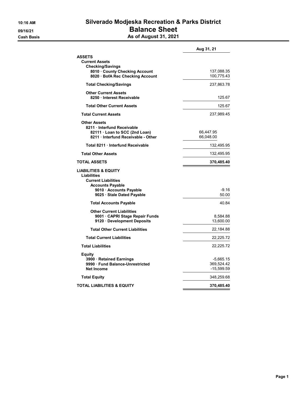#### 10:16 AM Silverado Modjeska Recreation & Parks District 09/16/21 **Balance Sheet Cash Basis** Cash Basis **As of August 31, 2021**

| <b>ASSETS</b>                                             |            |
|-----------------------------------------------------------|------------|
| <b>Current Assets</b>                                     |            |
| <b>Checking/Savings</b><br>8010 · County Checking Account | 137,088.35 |
| 8020 · BofA Rec Checking Account                          | 100,775.43 |
| <b>Total Checking/Savings</b>                             | 237,863.78 |
| <b>Other Current Assets</b>                               |            |
| 8250 · Interest Receivable                                | 125.67     |
| <b>Total Other Current Assets</b>                         | 125.67     |
| <b>Total Current Assets</b>                               | 237,989.45 |
| <b>Other Assets</b>                                       |            |
| 8211 Interfund Receivable                                 |            |
| 82111 Loan to SCC (2nd Loan)                              | 66,447.95  |
| 8211 Interfund Receivable - Other                         | 66,048.00  |
| Total 8211 Interfund Receivable                           | 132,495.95 |
| <b>Total Other Assets</b>                                 | 132,495.95 |
| <b>TOTAL ASSETS</b>                                       | 370,485.40 |
| <b>LIABILITIES &amp; EQUITY</b><br>Liabilities            |            |
| <b>Current Liabilities</b><br><b>Accounts Payable</b>     |            |
| 9010 Accounts Payable                                     | $-9.16$    |
| 9025 · Stale Dated Payable                                | 50.00      |
| <b>Total Accounts Payable</b>                             | 40.84      |
| <b>Other Current Liabilities</b>                          |            |
| 9001 CAPRI Stage Repair Funds                             | 8,584.88   |
| 9120 Development Deposits                                 | 13,600.00  |
| <b>Total Other Current Liabilities</b>                    | 22,184.88  |
| <b>Total Current Liabilities</b>                          | 22,225.72  |
| <b>Total Liabilities</b>                                  | 22,225.72  |
| Equity                                                    |            |
| 3900 · Retained Earnings                                  | -5,665.15  |
| 9990 Fund Balance-Unrestricted                            | 369,524.42 |
| <b>Net Income</b>                                         | -15,599.59 |
| <b>Total Equity</b>                                       | 348,259.68 |
| TOTAL LIABILITIES & EQUITY                                | 370,485.40 |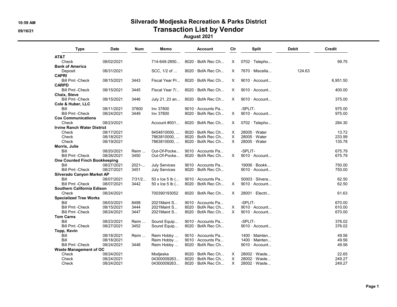### 10:59 AM Silverado Modjeska Recreation & Parks District 09/16/21 Contraction List by Vendor

August 2021

| <b>Type</b>                            | <b>Date</b> | <b>Num</b> | Memo                   | <b>Account</b>           | Clr      | <b>Split</b>          | <b>Debit</b> | Credit   |
|----------------------------------------|-------------|------------|------------------------|--------------------------|----------|-----------------------|--------------|----------|
| AT&T                                   |             |            |                        |                          |          |                       |              |          |
| Check                                  | 08/02/2021  |            | 714-649-2850           | $8020 \cdot$ BofA Rec Ch | X        | $0702 \cdot$ Telepho  |              | 99.75    |
| <b>Bank of America</b>                 |             |            |                        |                          |          |                       |              |          |
| Deposit                                | 08/31/2021  |            | SCC, 1/2 of            | $8020 \cdot$ BofA Rec Ch | X        | $7670 \cdot$ Miscella | 124.63       |          |
| <b>CAPRI</b><br><b>Bill Pmt -Check</b> | 08/15/2021  | 3443       | Fiscal Year Pr         | $8020 \cdot$ BofA Rec Ch | X        | $9010 \cdot$ Account  |              | 6,951.50 |
| <b>CARPD</b>                           |             |            |                        |                          |          |                       |              |          |
| <b>Bill Pmt -Check</b>                 | 08/15/2021  | 3445       | Fiscal Year 7/         | $8020 \cdot$ BofA Rec Ch | X.       | $9010 \cdot$ Account  |              | 400.00   |
| Chaix, Steve                           |             |            |                        |                          |          |                       |              |          |
| <b>Bill Pmt -Check</b>                 | 08/15/2021  | 3446       | July 21, 23 an         | 8020 · BofA Rec Ch       | X        | $9010 \cdot$ Account  |              | 375.00   |
| Cole & Huber, LLC                      |             |            |                        |                          |          |                       |              |          |
| Bill                                   | 08/11/2021  | 37800      | Inv 37800              | $9010 \cdot$ Accounts Pa |          | -SPLIT-               |              | 975.00   |
| <b>Bill Pmt -Check</b>                 | 08/24/2021  | 3449       | Inv 37800              | $8020 \cdot$ BofA Rec Ch | X.       | $9010 \cdot$ Account  |              | 975.00   |
| <b>Cox Communications</b>              |             |            |                        |                          |          |                       |              |          |
| Check                                  | 08/23/2021  |            | Account #001           | $8020 \cdot$ BofA Rec Ch | X        | $0702 \cdot$ Telepho  |              | 284.30   |
| <b>Irvine Ranch Water District</b>     |             |            |                        |                          |          |                       |              |          |
| Check                                  | 08/17/2021  |            | 8454810000,            | $8020 \cdot$ BofA Rec Ch | $\times$ | $28005 \cdot Water$   |              | 13.72    |
| Check                                  | 08/18/2021  |            | 7863810000,            | $8020 \cdot$ BofA Rec Ch | $\times$ | $28005 \cdot Water$   |              | 233.99   |
| Check                                  | 08/19/2021  |            | 7863810000,            | 8020 · BofA Rec Ch       | X        | $28005 \cdot Water$   |              | 135.78   |
| Morris, Julie                          |             |            |                        |                          |          |                       |              |          |
| Bill                                   | 08/20/2021  | Reim       | Out-Of-Pocke           | $9010 \cdot$ Accounts Pa |          | -SPLIT-               |              | 675.79   |
| <b>Bill Pmt -Check</b>                 | 08/26/2021  | 3450       | Out-Of-Pocke           | 8020 · BofA Rec Ch       | X.       | 9010 · Account        |              | 675.79   |
| One Counted Finch Bookkeeping          |             |            |                        |                          |          |                       |              |          |
| Bill                                   | 08/27/2021  | 2021       | <b>July Services</b>   | 9010 · Accounts Pa       |          | 19006 · Bookk         |              | 750.00   |
| <b>Bill Pmt -Check</b>                 | 08/27/2021  | 3451       | July Services          | $8020 \cdot$ BofA Rec Ch |          | $9010 \cdot$ Account  |              | 750.00   |
| Silverado Canyon Market AP             |             |            |                        |                          |          |                       |              |          |
| Bill                                   | 08/07/2021  | 7/31/2     | $50 \times$ Ice 5 lb ( | $9010 \cdot$ Accounts Pa |          | $50003 \cdot$ Silvera |              | 62.50    |
| <b>Bill Pmt -Check</b>                 | 08/07/2021  | 3442       | 50 x Ice 5 lb (        | 8020 · BofA Rec Ch       | X        | $9010 \cdot$ Account  |              | 62.50    |
| Southern California Edison             |             |            |                        |                          |          |                       |              |          |
| Check                                  | 08/24/2021  |            | 700390193052           | 8020 · BofA Rec Ch       | X        | 28001 · Electri       |              | 61.63    |
| <b>Specialized Tree Works</b>          |             |            |                        |                          |          |                       |              |          |
| Bill                                   | 08/03/2021  | 8498       | 2021 Maint S           | 9010 · Accounts Pa       |          | -SPLIT-               |              | 670.00   |
| <b>Bill Pmt -Check</b>                 | 08/15/2021  | 3444       | 2021 Maint S           | $8020 \cdot$ BofA Rec Ch | X        | $9010 \cdot$ Account  |              | 610.00   |
| <b>Bill Pmt -Check</b>                 | 08/24/2021  | 3447       | 2021 Maint S           | 8020 · BofA Rec Ch       | X.       | $9010 \cdot$ Account  |              | 670.00   |
| <b>Tom Carns</b>                       |             |            |                        |                          |          |                       |              |          |
| Bill                                   | 08/23/2021  | Reim       | Sound Equip            | 9010 · Accounts Pa       |          | -SPLIT-               |              | 376.02   |
| <b>Bill Pmt -Check</b>                 | 08/27/2021  | 3452       | Sound Equip            | 8020 · BofA Rec Ch       |          | 9010 · Account        |              | 376.02   |
| Topp, Kevin                            |             |            |                        |                          |          |                       |              |          |
| Bill                                   | 08/18/2021  | Reim       | Reim Hobby             | 9010 · Accounts Pa       |          | $1400 \cdot$ Mainten  |              | 49.56    |
| Bill                                   | 08/18/2021  |            | Reim Hobby             | $9010 \cdot$ Accounts Pa |          | $1400 \cdot$ Mainten  |              | 49.56    |
| <b>Bill Pmt -Check</b>                 | 08/24/2021  | 3448       | Reim Hobby             | 8020 · BofA Rec Ch       |          | 9010 · Account        |              | 49.56    |
| <b>Waste Management of OC</b>          |             |            |                        |                          |          |                       |              |          |
| Check                                  | 08/24/2021  |            | Modjeska               | $8020 \cdot$ BofA Rec Ch | X        | $28002 \cdot Waste$   |              | 22.65    |
| Check                                  | 08/24/2021  |            | 04300009263            | $8020 \cdot$ BofA Rec Ch | X        | 28002 · Waste         |              | 249.27   |
| Check                                  | 08/24/2021  |            | 04300009263            | 8020 · BofA Rec Ch       | X        | 28002 · Waste         |              | 249.27   |